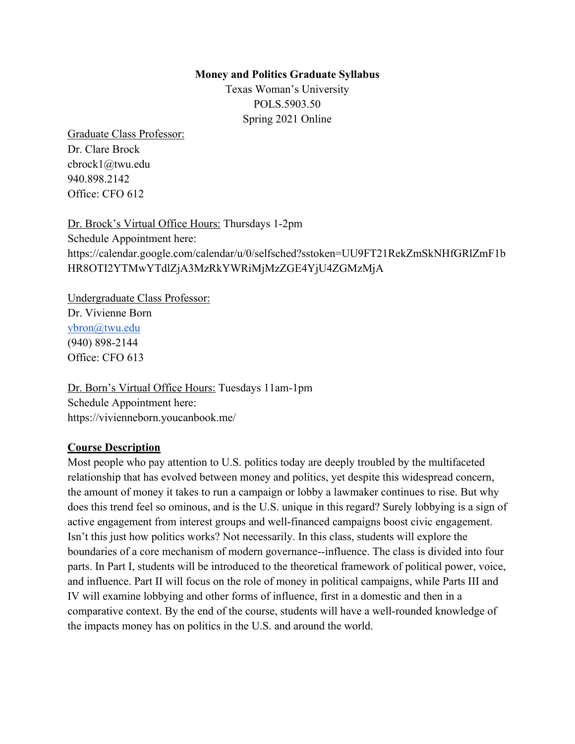#### **Money and Politics Graduate Syllabus**

Texas Woman's University POLS.5903.50 Spring 2021 Online

Graduate Class Professor: Dr. Clare Brock cbrock1@twu.edu 940.898.2142 Office: CFO 612

Dr. Brock's Virtual Office Hours: Thursdays 1-2pm Schedule Appointment here: https://calendar.google.com/calendar/u/0/selfsched?sstoken=UU9FT21RekZmSkNHfGRlZmF1b HR8OTI2YTMwYTdlZjA3MzRkYWRiMjMzZGE4YjU4ZGMzMjA

Undergraduate Class Professor: Dr. Vivienne Born vbron@twu.edu (940) 898-2144 Office: CFO 613

Dr. Born's Virtual Office Hours: Tuesdays 11am-1pm Schedule Appointment here: https://vivienneborn.youcanbook.me/

#### **Course Description**

Most people who pay attention to U.S. politics today are deeply troubled by the multifaceted relationship that has evolved between money and politics, yet despite this widespread concern, the amount of money it takes to run a campaign or lobby a lawmaker continues to rise. But why does this trend feel so ominous, and is the U.S. unique in this regard? Surely lobbying is a sign of active engagement from interest groups and well-financed campaigns boost civic engagement. Isn't this just how politics works? Not necessarily. In this class, students will explore the boundaries of a core mechanism of modern governance--influence. The class is divided into four parts. In Part I, students will be introduced to the theoretical framework of political power, voice, and influence. Part II will focus on the role of money in political campaigns, while Parts III and IV will examine lobbying and other forms of influence, first in a domestic and then in a comparative context. By the end of the course, students will have a well-rounded knowledge of the impacts money has on politics in the U.S. and around the world.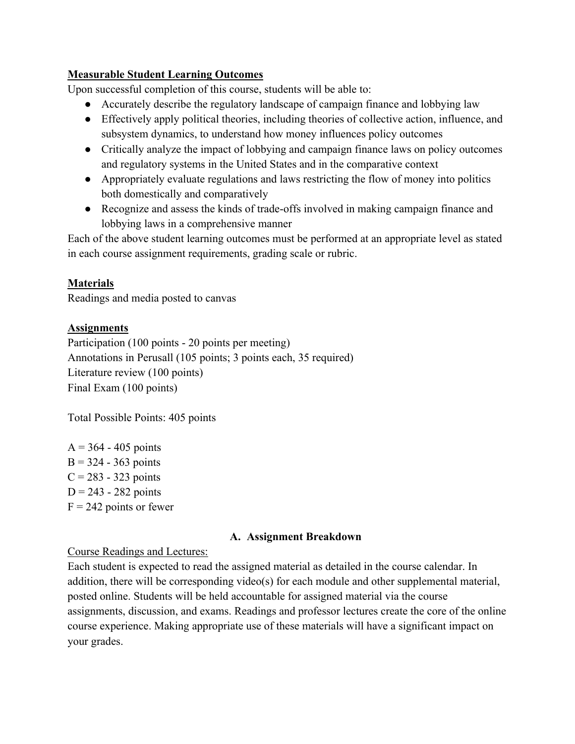### **Measurable Student Learning Outcomes**

Upon successful completion of this course, students will be able to:

- Accurately describe the regulatory landscape of campaign finance and lobbying law
- Effectively apply political theories, including theories of collective action, influence, and subsystem dynamics, to understand how money influences policy outcomes
- Critically analyze the impact of lobbying and campaign finance laws on policy outcomes and regulatory systems in the United States and in the comparative context
- Appropriately evaluate regulations and laws restricting the flow of money into politics both domestically and comparatively
- Recognize and assess the kinds of trade-offs involved in making campaign finance and lobbying laws in a comprehensive manner

Each of the above student learning outcomes must be performed at an appropriate level as stated in each course assignment requirements, grading scale or rubric.

# **Materials**

Readings and media posted to canvas

# **Assignments**

Participation (100 points - 20 points per meeting) Annotations in Perusall (105 points; 3 points each, 35 required) Literature review (100 points) Final Exam (100 points)

Total Possible Points: 405 points

 $A = 364 - 405$  points  $B = 324 - 363$  points  $C = 283 - 323$  points  $D = 243 - 282$  points  $F = 242$  points or fewer

# **A. Assignment Breakdown**

Course Readings and Lectures:

Each student is expected to read the assigned material as detailed in the course calendar. In addition, there will be corresponding video(s) for each module and other supplemental material, posted online. Students will be held accountable for assigned material via the course assignments, discussion, and exams. Readings and professor lectures create the core of the online course experience. Making appropriate use of these materials will have a significant impact on your grades.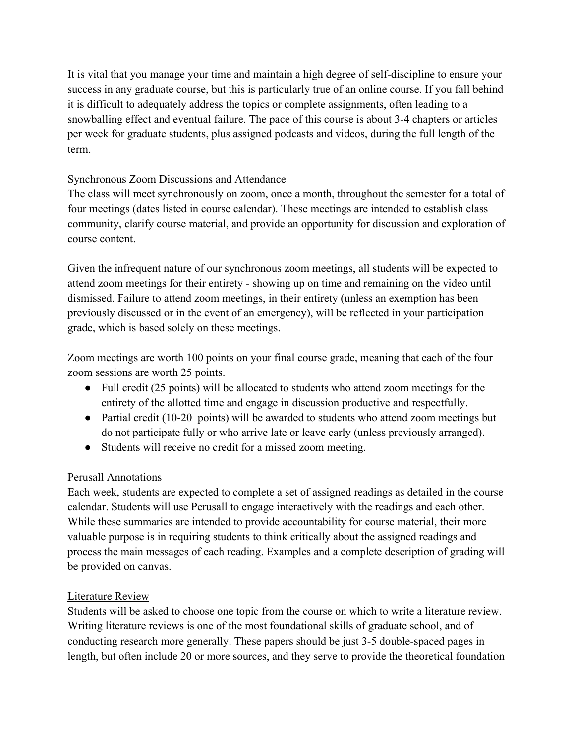It is vital that you manage your time and maintain a high degree of self-discipline to ensure your success in any graduate course, but this is particularly true of an online course. If you fall behind it is difficult to adequately address the topics or complete assignments, often leading to a snowballing effect and eventual failure. The pace of this course is about 3-4 chapters or articles per week for graduate students, plus assigned podcasts and videos, during the full length of the term.

### Synchronous Zoom Discussions and Attendance

The class will meet synchronously on zoom, once a month, throughout the semester for a total of four meetings (dates listed in course calendar). These meetings are intended to establish class community, clarify course material, and provide an opportunity for discussion and exploration of course content.

Given the infrequent nature of our synchronous zoom meetings, all students will be expected to attend zoom meetings for their entirety - showing up on time and remaining on the video until dismissed. Failure to attend zoom meetings, in their entirety (unless an exemption has been previously discussed or in the event of an emergency), will be reflected in your participation grade, which is based solely on these meetings.

Zoom meetings are worth 100 points on your final course grade, meaning that each of the four zoom sessions are worth 25 points.

- Full credit (25 points) will be allocated to students who attend zoom meetings for the entirety of the allotted time and engage in discussion productive and respectfully.
- Partial credit (10-20 points) will be awarded to students who attend zoom meetings but do not participate fully or who arrive late or leave early (unless previously arranged).
- Students will receive no credit for a missed zoom meeting.

### Perusall Annotations

Each week, students are expected to complete a set of assigned readings as detailed in the course calendar. Students will use Perusall to engage interactively with the readings and each other. While these summaries are intended to provide accountability for course material, their more valuable purpose is in requiring students to think critically about the assigned readings and process the main messages of each reading. Examples and a complete description of grading will be provided on canvas.

### Literature Review

Students will be asked to choose one topic from the course on which to write a literature review. Writing literature reviews is one of the most foundational skills of graduate school, and of conducting research more generally. These papers should be just 3-5 double-spaced pages in length, but often include 20 or more sources, and they serve to provide the theoretical foundation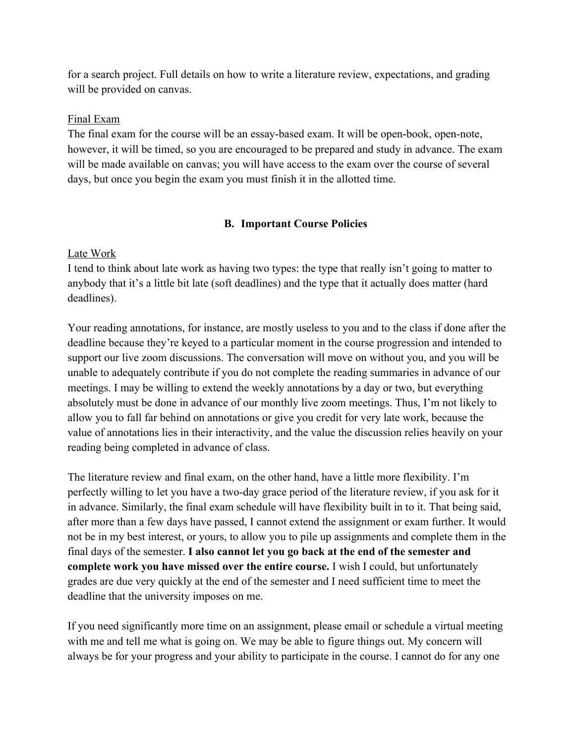for a search project. Full details on how to write a literature review, expectations, and grading will be provided on canvas.

### Final Exam

The final exam for the course will be an essay-based exam. It will be open-book, open-note, however, it will be timed, so you are encouraged to be prepared and study in advance. The exam will be made available on canvas; you will have access to the exam over the course of several days, but once you begin the exam you must finish it in the allotted time.

# **B. Important Course Policies**

## Late Work

I tend to think about late work as having two types: the type that really isn't going to matter to anybody that it's a little bit late (soft deadlines) and the type that it actually does matter (hard deadlines).

Your reading annotations, for instance, are mostly useless to you and to the class if done after the deadline because they're keyed to a particular moment in the course progression and intended to support our live zoom discussions. The conversation will move on without you, and you will be unable to adequately contribute if you do not complete the reading summaries in advance of our meetings. I may be willing to extend the weekly annotations by a day or two, but everything absolutely must be done in advance of our monthly live zoom meetings. Thus, I'm not likely to allow you to fall far behind on annotations or give you credit for very late work, because the value of annotations lies in their interactivity, and the value the discussion relies heavily on your reading being completed in advance of class.

The literature review and final exam, on the other hand, have a little more flexibility. I'm perfectly willing to let you have a two-day grace period of the literature review, if you ask for it in advance. Similarly, the final exam schedule will have flexibility built in to it. That being said, after more than a few days have passed, I cannot extend the assignment or exam further. It would not be in my best interest, or yours, to allow you to pile up assignments and complete them in the final days of the semester. **I also cannot let you go back at the end of the semester and complete work you have missed over the entire course.** I wish I could, but unfortunately grades are due very quickly at the end of the semester and I need sufficient time to meet the deadline that the university imposes on me.

If you need significantly more time on an assignment, please email or schedule a virtual meeting with me and tell me what is going on. We may be able to figure things out. My concern will always be for your progress and your ability to participate in the course. I cannot do for any one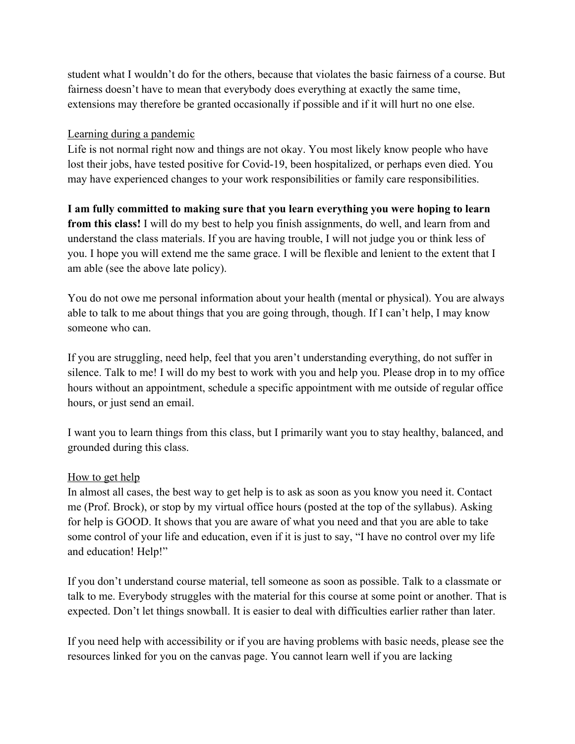student what I wouldn't do for the others, because that violates the basic fairness of a course. But fairness doesn't have to mean that everybody does everything at exactly the same time, extensions may therefore be granted occasionally if possible and if it will hurt no one else.

### Learning during a pandemic

Life is not normal right now and things are not okay. You most likely know people who have lost their jobs, have tested positive for Covid-19, been hospitalized, or perhaps even died. You may have experienced changes to your work responsibilities or family care responsibilities.

**I am fully committed to making sure that you learn everything you were hoping to learn from this class!** I will do my best to help you finish assignments, do well, and learn from and understand the class materials. If you are having trouble, I will not judge you or think less of you. I hope you will extend me the same grace. I will be flexible and lenient to the extent that I am able (see the above late policy).

You do not owe me personal information about your health (mental or physical). You are always able to talk to me about things that you are going through, though. If I can't help, I may know someone who can.

If you are struggling, need help, feel that you aren't understanding everything, do not suffer in silence. Talk to me! I will do my best to work with you and help you. Please drop in to my office hours without an appointment, schedule a specific appointment with me outside of regular office hours, or just send an email.

I want you to learn things from this class, but I primarily want you to stay healthy, balanced, and grounded during this class.

### How to get help

In almost all cases, the best way to get help is to ask as soon as you know you need it. Contact me (Prof. Brock), or stop by my virtual office hours (posted at the top of the syllabus). Asking for help is GOOD. It shows that you are aware of what you need and that you are able to take some control of your life and education, even if it is just to say, "I have no control over my life and education! Help!"

If you don't understand course material, tell someone as soon as possible. Talk to a classmate or talk to me. Everybody struggles with the material for this course at some point or another. That is expected. Don't let things snowball. It is easier to deal with difficulties earlier rather than later.

If you need help with accessibility or if you are having problems with basic needs, please see the resources linked for you on the canvas page. You cannot learn well if you are lacking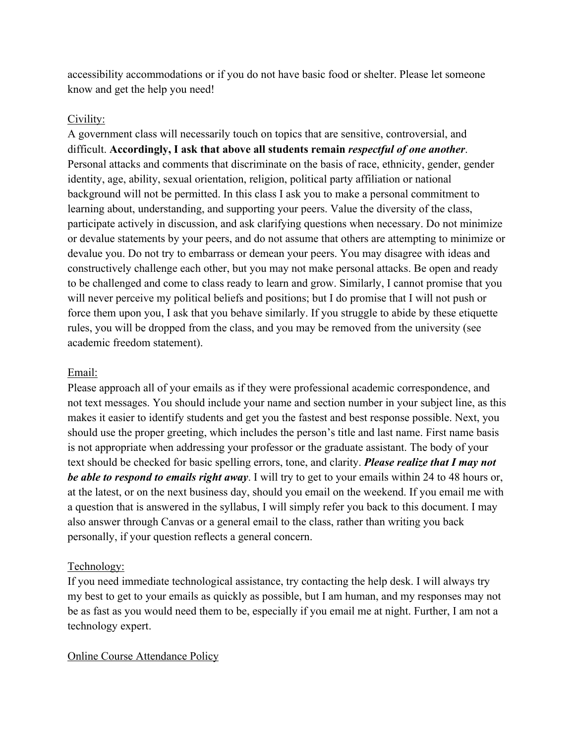accessibility accommodations or if you do not have basic food or shelter. Please let someone know and get the help you need!

## Civility:

A government class will necessarily touch on topics that are sensitive, controversial, and difficult. **Accordingly, I ask that above all students remain** *respectful of one another*. Personal attacks and comments that discriminate on the basis of race, ethnicity, gender, gender identity, age, ability, sexual orientation, religion, political party affiliation or national background will not be permitted. In this class I ask you to make a personal commitment to learning about, understanding, and supporting your peers. Value the diversity of the class, participate actively in discussion, and ask clarifying questions when necessary. Do not minimize or devalue statements by your peers, and do not assume that others are attempting to minimize or devalue you. Do not try to embarrass or demean your peers. You may disagree with ideas and constructively challenge each other, but you may not make personal attacks. Be open and ready to be challenged and come to class ready to learn and grow. Similarly, I cannot promise that you will never perceive my political beliefs and positions; but I do promise that I will not push or force them upon you, I ask that you behave similarly. If you struggle to abide by these etiquette rules, you will be dropped from the class, and you may be removed from the university (see academic freedom statement).

### Email:

Please approach all of your emails as if they were professional academic correspondence, and not text messages. You should include your name and section number in your subject line, as this makes it easier to identify students and get you the fastest and best response possible. Next, you should use the proper greeting, which includes the person's title and last name. First name basis is not appropriate when addressing your professor or the graduate assistant. The body of your text should be checked for basic spelling errors, tone, and clarity. *Please realize that I may not be able to respond to emails right away*. I will try to get to your emails within 24 to 48 hours or, at the latest, or on the next business day, should you email on the weekend. If you email me with a question that is answered in the syllabus, I will simply refer you back to this document. I may also answer through Canvas or a general email to the class, rather than writing you back personally, if your question reflects a general concern.

### Technology:

If you need immediate technological assistance, try contacting the help desk. I will always try my best to get to your emails as quickly as possible, but I am human, and my responses may not be as fast as you would need them to be, especially if you email me at night. Further, I am not a technology expert.

### Online Course Attendance Policy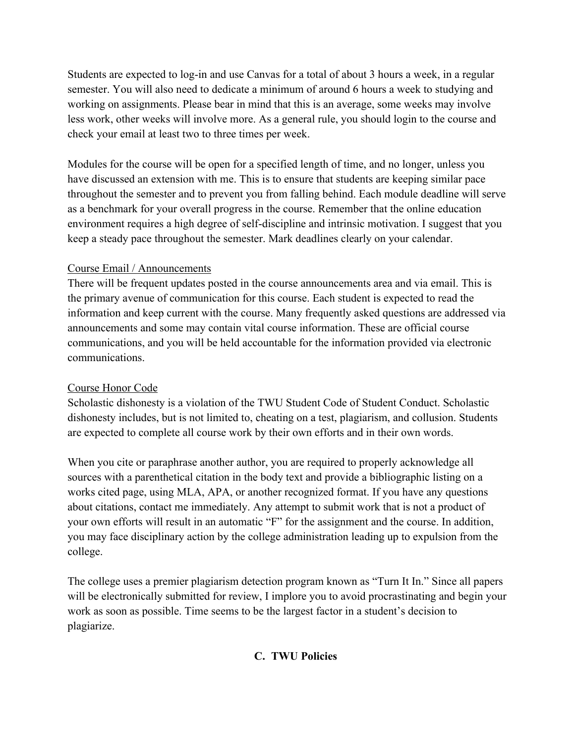Students are expected to log-in and use Canvas for a total of about 3 hours a week, in a regular semester. You will also need to dedicate a minimum of around 6 hours a week to studying and working on assignments. Please bear in mind that this is an average, some weeks may involve less work, other weeks will involve more. As a general rule, you should login to the course and check your email at least two to three times per week.

Modules for the course will be open for a specified length of time, and no longer, unless you have discussed an extension with me. This is to ensure that students are keeping similar pace throughout the semester and to prevent you from falling behind. Each module deadline will serve as a benchmark for your overall progress in the course. Remember that the online education environment requires a high degree of self-discipline and intrinsic motivation. I suggest that you keep a steady pace throughout the semester. Mark deadlines clearly on your calendar.

## Course Email / Announcements

There will be frequent updates posted in the course announcements area and via email. This is the primary avenue of communication for this course. Each student is expected to read the information and keep current with the course. Many frequently asked questions are addressed via announcements and some may contain vital course information. These are official course communications, and you will be held accountable for the information provided via electronic communications.

# Course Honor Code

Scholastic dishonesty is a violation of the TWU Student Code of Student Conduct. Scholastic dishonesty includes, but is not limited to, cheating on a test, plagiarism, and collusion. Students are expected to complete all course work by their own efforts and in their own words.

When you cite or paraphrase another author, you are required to properly acknowledge all sources with a parenthetical citation in the body text and provide a bibliographic listing on a works cited page, using MLA, APA, or another recognized format. If you have any questions about citations, contact me immediately. Any attempt to submit work that is not a product of your own efforts will result in an automatic "F" for the assignment and the course. In addition, you may face disciplinary action by the college administration leading up to expulsion from the college.

The college uses a premier plagiarism detection program known as "Turn It In." Since all papers will be electronically submitted for review, I implore you to avoid procrastinating and begin your work as soon as possible. Time seems to be the largest factor in a student's decision to plagiarize.

# **C. TWU Policies**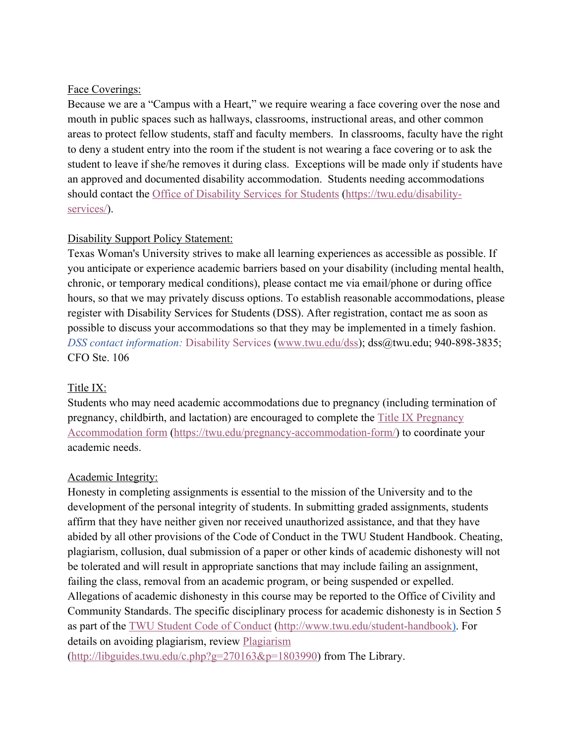#### Face Coverings:

Because we are a "Campus with a Heart," we require wearing a face covering over the nose and mouth in public spaces such as hallways, classrooms, instructional areas, and other common areas to protect fellow students, staff and faculty members. In classrooms, faculty have the right to deny a student entry into the room if the student is not wearing a face covering or to ask the student to leave if she/he removes it during class. Exceptions will be made only if students have an approved and documented disability accommodation. Students needing accommodations should contact the Office of Disability Services for Students (https://twu.edu/disabilityservices $\Lambda$ .

### Disability Support Policy Statement:

Texas Woman's University strives to make all learning experiences as accessible as possible. If you anticipate or experience academic barriers based on your disability (including mental health, chronic, or temporary medical conditions), please contact me via email/phone or during office hours, so that we may privately discuss options. To establish reasonable accommodations, please register with Disability Services for Students (DSS). After registration, contact me as soon as possible to discuss your accommodations so that they may be implemented in a timely fashion. *DSS contact information:* Disability Services (www.twu.edu/dss); dss@twu.edu; 940-898-3835; CFO Ste. 106

### Title IX:

Students who may need academic accommodations due to pregnancy (including termination of pregnancy, childbirth, and lactation) are encouraged to complete the Title IX Pregnancy Accommodation form (https://twu.edu/pregnancy-accommodation-form/) to coordinate your academic needs.

### Academic Integrity:

Honesty in completing assignments is essential to the mission of the University and to the development of the personal integrity of students. In submitting graded assignments, students affirm that they have neither given nor received unauthorized assistance, and that they have abided by all other provisions of the Code of Conduct in the TWU Student Handbook. Cheating, plagiarism, collusion, dual submission of a paper or other kinds of academic dishonesty will not be tolerated and will result in appropriate sanctions that may include failing an assignment, failing the class, removal from an academic program, or being suspended or expelled. Allegations of academic dishonesty in this course may be reported to the Office of Civility and Community Standards. The specific disciplinary process for academic dishonesty is in Section 5 as part of the TWU Student Code of Conduct (http://www.twu.edu/student-handbook). For details on avoiding plagiarism, review Plagiarism

(http://libguides.twu.edu/c.php?g=270163&p=1803990) from The Library.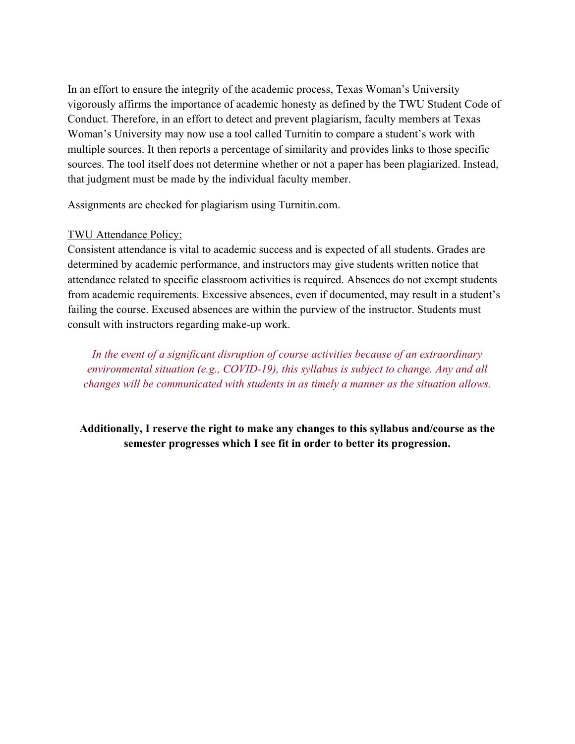In an effort to ensure the integrity of the academic process, Texas Woman's University vigorously affirms the importance of academic honesty as defined by the TWU Student Code of Conduct. Therefore, in an effort to detect and prevent plagiarism, faculty members at Texas Woman's University may now use a tool called Turnitin to compare a student's work with multiple sources. It then reports a percentage of similarity and provides links to those specific sources. The tool itself does not determine whether or not a paper has been plagiarized. Instead, that judgment must be made by the individual faculty member.

Assignments are checked for plagiarism using Turnitin.com.

#### TWU Attendance Policy:

Consistent attendance is vital to academic success and is expected of all students. Grades are determined by academic performance, and instructors may give students written notice that attendance related to specific classroom activities is required. Absences do not exempt students from academic requirements. Excessive absences, even if documented, may result in a student's failing the course. Excused absences are within the purview of the instructor. Students must consult with instructors regarding make-up work.

*In the event of a significant disruption of course activities because of an extraordinary environmental situation (e.g., COVID-19), this syllabus is subject to change. Any and all changes will be communicated with students in as timely a manner as the situation allows.*

**Additionally, I reserve the right to make any changes to this syllabus and/course as the semester progresses which I see fit in order to better its progression.**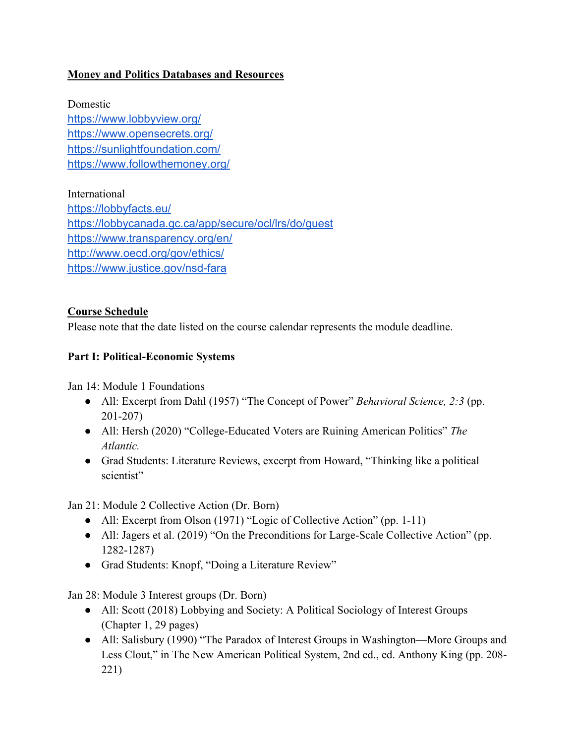## **Money and Politics Databases and Resources**

Domestic https://www.lobbyview.org/ https://www.opensecrets.org/ https://sunlightfoundation.com/ https://www.followthemoney.org/

International https://lobbyfacts.eu/ https://lobbycanada.gc.ca/app/secure/ocl/lrs/do/guest https://www.transparency.org/en/ http://www.oecd.org/gov/ethics/ https://www.justice.gov/nsd-fara

#### **Course Schedule**

Please note that the date listed on the course calendar represents the module deadline.

#### **Part I: Political-Economic Systems**

Jan 14: Module 1 Foundations

- All: Excerpt from Dahl (1957) "The Concept of Power" *Behavioral Science, 2:3* (pp. 201-207)
- All: Hersh (2020) "College-Educated Voters are Ruining American Politics" *The Atlantic.*
- Grad Students: Literature Reviews, excerpt from Howard, "Thinking like a political scientist"

Jan 21: Module 2 Collective Action (Dr. Born)

- All: Excerpt from Olson (1971) "Logic of Collective Action" (pp. 1-11)
- All: Jagers et al. (2019) "On the Preconditions for Large-Scale Collective Action" (pp. 1282-1287)
- Grad Students: Knopf, "Doing a Literature Review"

Jan 28: Module 3 Interest groups (Dr. Born)

- All: Scott (2018) Lobbying and Society: A Political Sociology of Interest Groups (Chapter 1, 29 pages)
- All: Salisbury (1990) "The Paradox of Interest Groups in Washington—More Groups and Less Clout," in The New American Political System, 2nd ed., ed. Anthony King (pp. 208- 221)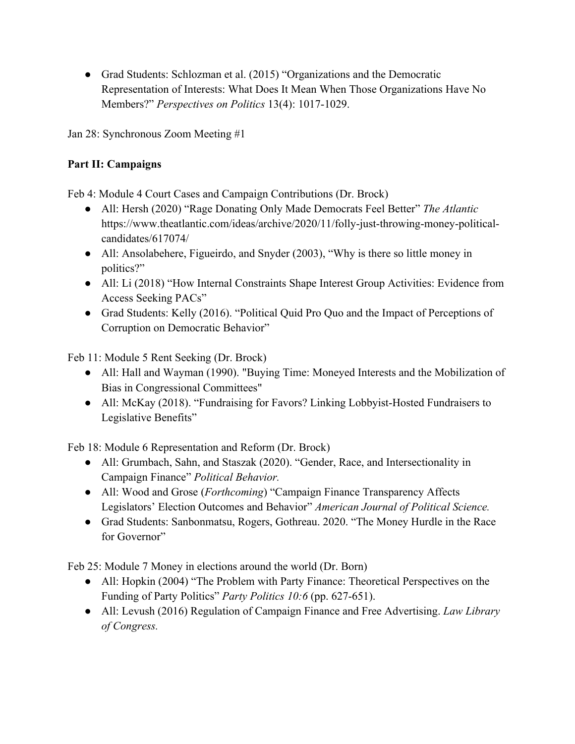● Grad Students: Schlozman et al. (2015) "Organizations and the Democratic Representation of Interests: What Does It Mean When Those Organizations Have No Members?" *Perspectives on Politics* 13(4): 1017-1029.

Jan 28: Synchronous Zoom Meeting #1

# **Part II: Campaigns**

Feb 4: Module 4 Court Cases and Campaign Contributions (Dr. Brock)

- All: Hersh (2020) "Rage Donating Only Made Democrats Feel Better" *The Atlantic*  https://www.theatlantic.com/ideas/archive/2020/11/folly-just-throwing-money-politicalcandidates/617074/
- All: Ansolabehere, Figueirdo, and Snyder (2003), "Why is there so little money in politics?"
- All: Li (2018) "How Internal Constraints Shape Interest Group Activities: Evidence from Access Seeking PACs"
- Grad Students: Kelly (2016). "Political Quid Pro Quo and the Impact of Perceptions of Corruption on Democratic Behavior"

Feb 11: Module 5 Rent Seeking (Dr. Brock)

- All: Hall and Wayman (1990). "Buying Time: Moneyed Interests and the Mobilization of Bias in Congressional Committees"
- All: McKay (2018). "Fundraising for Favors? Linking Lobbyist-Hosted Fundraisers to Legislative Benefits"

Feb 18: Module 6 Representation and Reform (Dr. Brock)

- All: Grumbach, Sahn, and Staszak (2020). "Gender, Race, and Intersectionality in Campaign Finance" *Political Behavior.*
- All: Wood and Grose (*Forthcoming*) "Campaign Finance Transparency Affects Legislators' Election Outcomes and Behavior" *American Journal of Political Science.*
- Grad Students: Sanbonmatsu, Rogers, Gothreau. 2020. "The Money Hurdle in the Race for Governor"

Feb 25: Module 7 Money in elections around the world (Dr. Born)

- All: Hopkin (2004) "The Problem with Party Finance: Theoretical Perspectives on the Funding of Party Politics" *Party Politics 10:6* (pp. 627-651).
- All: Levush (2016) Regulation of Campaign Finance and Free Advertising. *Law Library of Congress.*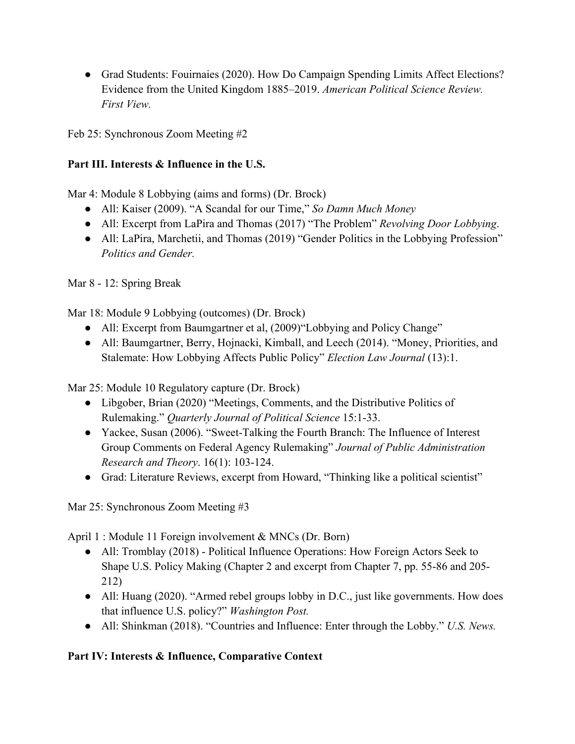• Grad Students: Fouirnaies (2020). How Do Campaign Spending Limits Affect Elections? Evidence from the United Kingdom 1885–2019. *American Political Science Review. First View.*

Feb 25: Synchronous Zoom Meeting #2

## **Part III. Interests & Influence in the U.S.**

Mar 4: Module 8 Lobbying (aims and forms) (Dr. Brock)

- All: Kaiser (2009). "A Scandal for our Time," *So Damn Much Money*
- All: Excerpt from LaPira and Thomas (2017) "The Problem" *Revolving Door Lobbying*.
- All: LaPira, Marchetii, and Thomas (2019) "Gender Politics in the Lobbying Profession" *Politics and Gender.*

Mar 8 - 12: Spring Break

Mar 18: Module 9 Lobbying (outcomes) (Dr. Brock)

- All: Excerpt from Baumgartner et al, (2009) "Lobbying and Policy Change"
- All: Baumgartner, Berry, Hojnacki, Kimball, and Leech (2014). "Money, Priorities, and Stalemate: How Lobbying Affects Public Policy" *Election Law Journal* (13):1.

Mar 25: Module 10 Regulatory capture (Dr. Brock)

- Libgober, Brian (2020) "Meetings, Comments, and the Distributive Politics of Rulemaking." *Quarterly Journal of Political Science* 15:1-33.
- Yackee, Susan (2006). "Sweet-Talking the Fourth Branch: The Influence of Interest Group Comments on Federal Agency Rulemaking" *Journal of Public Administration Research and Theory*. 16(1): 103-124.
- Grad: Literature Reviews, excerpt from Howard, "Thinking like a political scientist"

Mar 25: Synchronous Zoom Meeting #3

April 1 : Module 11 Foreign involvement & MNCs (Dr. Born)

- All: Tromblay (2018) Political Influence Operations: How Foreign Actors Seek to Shape U.S. Policy Making (Chapter 2 and excerpt from Chapter 7, pp. 55-86 and 205- 212)
- All: Huang (2020). "Armed rebel groups lobby in D.C., just like governments. How does that influence U.S. policy?" *Washington Post.*
- All: Shinkman (2018). "Countries and Influence: Enter through the Lobby." *U.S. News.*

# **Part IV: Interests & Influence, Comparative Context**